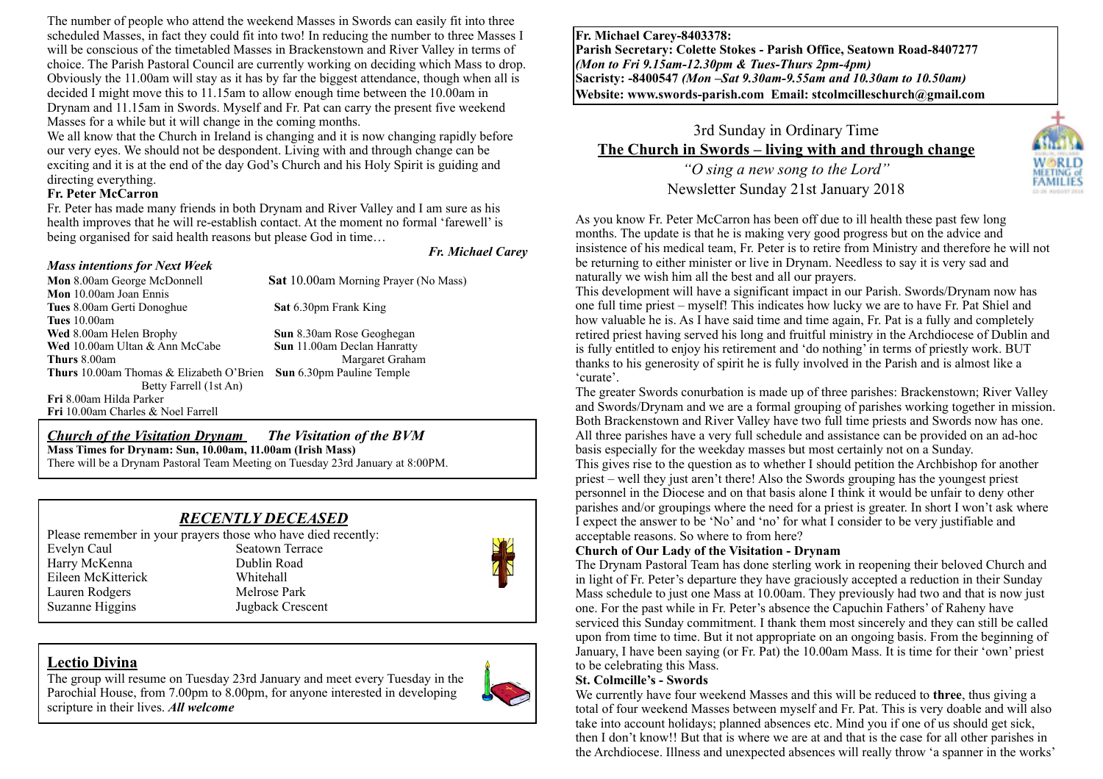The number of people who attend the weekend Masses in Swords can easily fit into three scheduled Masses, in fact they could fit into two! In reducing the number to three Masses I will be conscious of the timetabled Masses in Brackenstown and River Valley in terms of choice. The Parish Pastoral Council are currently working on deciding which Mass to drop. Obviously the 11.00am will stay as it has by far the biggest attendance, though when all is decided I might move this to 11.15am to allow enough time between the 10.00am in Drynam and 11.15am in Swords. Myself and Fr. Pat can carry the present five weekend Masses for a while but it will change in the coming months.

We all know that the Church in Ireland is changing and it is now changing rapidly before our very eyes. We should not be despondent. Living with and through change can be exciting and it is at the end of the day God's Church and his Holy Spirit is guiding and directing everything.

### **Fr. Peter McCarron**

Fr. Peter has made many friends in both Drynam and River Valley and I am sure as his health improves that he will re-establish contact. At the moment no formal 'farewell' is being organised for said health reasons but please God in time…

#### *Mass intentions for Next Week*

*Fr. Michael Carey*

**Mon** 8.00am George McDonnell**Sat** 10.00am Morning Prayer (No Mass) **Mon** 10.00am Joan Ennis **Tues** 8.00am Gerti Donoghue **Sat** 6.30pm Frank King **Tues** 10.00am **Wed** 8.00am Helen Brophy **Sun** 8.30am Rose Geoghegan **Wed** 10.00am Ultan & Ann McCabe **Sun** 11.00am Declan Hanratty **Thurs** 8.00am Margaret Graham **Thurs** 10.00am Thomas & Elizabeth O'Brien **Sun** 6.30pm Pauline Temple Betty Farrell (1st An) **Fri** 8.00am Hilda Parker **Fri** 10.00am Charles & Noel Farrell

#### *Church of the Visitation Drynam**The Visitation of the BVM* **Mass Times for Drynam: Sun, 10.00am, 11.00am (Irish Mass)** There will be a Drynam Pastoral Team Meeting on Tuesday 23rd January at 8:00PM.

## *RECENTLY DECEASED*

Please remember in your prayers those who have died recently: Evelyn Caul Seatown Terrace Harry McKenna Dublin Road Eileen McKitterick Whitehall Lauren Rodgers Melrose Park Suzanne Higgins Jugback Crescent



## **Lectio Divina**

The group will resume on Tuesday 23rd January and meet every Tuesday in the Parochial House, from 7.00pm to 8.00pm, for anyone interested in developing scripture in their lives. *All welcome*



**Fr. Michael Carey-8403378: Parish Secretary: Colette Stokes - Parish Office, Seatown Road-8407277**  *(Mon to Fri 9.15am-12.30pm & Tues-Thurs 2pm-4pm)*  **Sacristy: -8400547** *(Mon –Sat 9.30am-9.55am and 10.30am to 10.50am)* **Website: [www.swords-parish.com Email:](http://www.swords-parish.com%20%20email) stcolmcilleschurch@gmail.com**

# 3rd Sunday in Ordinary Time **The Church in Swords – living with and through change**  *"O sing a new song to the Lord"*

Newsletter Sunday 21st January 2018



As you know Fr. Peter McCarron has been off due to ill health these past few long months. The update is that he is making very good progress but on the advice and insistence of his medical team, Fr. Peter is to retire from Ministry and therefore he will not be returning to either minister or live in Drynam. Needless to say it is very sad and naturally we wish him all the best and all our prayers.

This development will have a significant impact in our Parish. Swords/Drynam now has one full time priest – myself! This indicates how lucky we are to have Fr. Pat Shiel and how valuable he is. As I have said time and time again, Fr. Pat is a fully and completely retired priest having served his long and fruitful ministry in the Archdiocese of Dublin and is fully entitled to enjoy his retirement and 'do nothing' in terms of priestly work. BUT thanks to his generosity of spirit he is fully involved in the Parish and is almost like a 'curate'.

The greater Swords conurbation is made up of three parishes: Brackenstown; River Valley and Swords/Drynam and we are a formal grouping of parishes working together in mission. Both Brackenstown and River Valley have two full time priests and Swords now has one. All three parishes have a very full schedule and assistance can be provided on an ad-hoc basis especially for the weekday masses but most certainly not on a Sunday. This gives rise to the question as to whether I should petition the Archbishop for another priest – well they just aren't there! Also the Swords grouping has the youngest priest personnel in the Diocese and on that basis alone I think it would be unfair to deny other parishes and/or groupings where the need for a priest is greater. In short I won't ask where I expect the answer to be 'No' and 'no' for what I consider to be very justifiable and acceptable reasons. So where to from here?

## **Church of Our Lady of the Visitation - Drynam**

The Drynam Pastoral Team has done sterling work in reopening their beloved Church and in light of Fr. Peter's departure they have graciously accepted a reduction in their Sunday Mass schedule to just one Mass at 10.00am. They previously had two and that is now just one. For the past while in Fr. Peter's absence the Capuchin Fathers' of Raheny have serviced this Sunday commitment. I thank them most sincerely and they can still be called upon from time to time. But it not appropriate on an ongoing basis. From the beginning of January, I have been saying (or Fr. Pat) the 10.00am Mass. It is time for their 'own' priest to be celebrating this Mass.

#### **St. Colmcille's - Swords**

We currently have four weekend Masses and this will be reduced to **three**, thus giving a total of four weekend Masses between myself and Fr. Pat. This is very doable and will also take into account holidays; planned absences etc. Mind you if one of us should get sick, then I don't know!! But that is where we are at and that is the case for all other parishes in the Archdiocese. Illness and unexpected absences will really throw 'a spanner in the works'